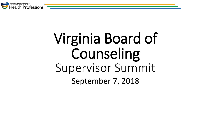

# Virginia Board of Counseling Supervisor Summit September 7, 2018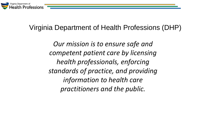

#### Virginia Department of Health Professions (DHP)

*Our mission is to ensure safe and competent patient care by licensing health professionals, enforcing standards of practice, and providing information to health care practitioners and the public.*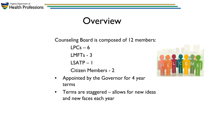

### **Overview**

Counseling Board is composed of 12 members:  $LPCs - 6$ LMFTs - 3 LSATP – 1 Citizen Members - 2



- Appointed by the Governor for 4 year terms
- Terms are staggered allows for new ideas and new faces each year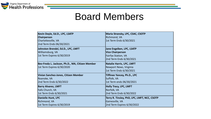

### Board Members

| Kevin Doyle, Ed.D., LPC, LSATP                  | Maria Stransky, LPC, CSAC, CSOTP             |
|-------------------------------------------------|----------------------------------------------|
| <b>Chairperson</b>                              | Richmond, VA                                 |
| Charlottesville, VA                             | 1st Term Ends 6/30/2021                      |
| 2nd Term Ends 06/30/2021                        |                                              |
| Johnston Brendel, Ed.D., LPC, LMFT              | Jane Engelken, LPC, LSATP                    |
| Williamsburg, VA                                | <b>Vice Chairperson</b>                      |
| 1st Term Expires 6/30/2019                      | <b>Fairfax Station, VA</b>                   |
|                                                 | 2nd Term Ends 6/30/2021                      |
| Bev-Freda L. Jackson, Ph.D., MA, Citizen Member | Natalie Harris, LPC, LMFT                    |
| 1st Term Expires 6/30/2020                      | Newport News, Virginia                       |
|                                                 | 1st Term Ends 6/30/2021                      |
| Vivian Sanchez-Jones, Citizen Member            | <b>Tiffinee Yancey, Ph.D., LPC</b>           |
| Roanoke, VA                                     | Suffolk, VA                                  |
| 2nd Term Ends 6/30/2022                         | 1st Term ends 06/30/2021                     |
| <b>Barry Alvarez, LMFT</b>                      | <b>Holly Tracy, LPC, LMFT</b>                |
| Falls Church, VA                                | Norfolk, VA                                  |
| 1st Term Ends 6/30/2021                         | 2nd Term Ends 6/30/2022                      |
| Danielle Hunt, LPC                              | Terry R. Tinsley, PhD, LPC, LMFT, NCC, CSOTP |
| Richmond, VA                                    | Gainesville, VA                              |
| 1st Term Expires 6/30/2019                      | 2nd Term Expires 6/30/2022                   |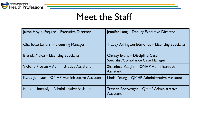

### Meet the Staff

| Jaime Hoyle, Esquire - Executive Director     | Jennifer Lang - Deputy Executive Director                                    |
|-----------------------------------------------|------------------------------------------------------------------------------|
| Charlotte Lenart - Licensing Manager          | <b>Tracey Arrington-Edmonds – Licensing Specialist</b>                       |
| Brenda Maida – Licensing Specialist           | <b>Christy Evans – Discipline Case</b><br>Specialist/Compliance Case Manager |
| Victoria Prosser – Administrative Assistant   | Sharniece Vaughn - QMHP Administrative<br>Assistant                          |
| Kelby Johnson – QMHP Administrative Assistant | Linda Young – QMHP Administrative Assistant                                  |
| Natalie Unmusig – Administrative Assistant    | Trasean Boatwright – QMHP Administrative<br>Assistant                        |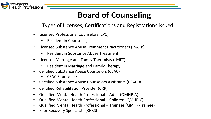

### **Board of Counseling**

#### Types of Licenses, Certifications and Registrations issued:

- Licensed Professional Counselors (LPC)
	- Resident in Counseling
- Licensed Substance Abuse Treatment Practitioners (LSATP)
	- Resident in Substance Abuse Treatment
- Licensed Marriage and Family Therapists (LMFT)
	- Resident in Marriage and Family Therapy
- Certified Substance Abuse Counselors (CSAC)
	- CSAC Supervisee
- Certified Substance Abuse Counselors Assistants (CSAC-A)
- Certified Rehabilitation Provider (CRP)
- Qualified Mental Health Professional Adult (QMHP-A)
- Qualified Mental Health Professional Children (QMHP-C)
- Qualified Mental Health Professional Trainees (QMHP-Trainee)
- Peer Recovery Specialists (RPRS)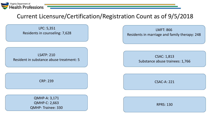

#### Current Licensure/Certification/Registration Count as of 9/5/2018

LPC: 5,351 Residents in counseling: 7,628

LSATP: 210 ESAIT. 210<br>Resident in substance abuse treatment: 5

QMHP-A: 3,171 QMHP-C: 2,663 QMHP- Trainee: 330

LMFT: 866 Residents in marriage and family therapy: 248

Substance abuse trainees: 1,766

CRP: 239 CSAC-A: 221

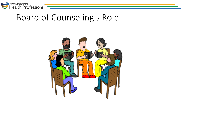

### Board of Counseling's Role

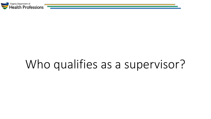

## Who qualifies as a supervisor?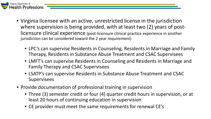

- Virginia licensee with an active, unrestricted license in the jurisdiction where supervision is being provided, with at least two (2) years of postlicensure clinical experience (post-licensure clinical practice experience in another jurisdiction can be considered toward the 2 year requirement)
	- LPC's can supervise Residents in Counseling, Residents in Marriage and Family Therapy, Residents in Substance Abuse Treatment and CSAC Supervisees
	- LMFT's can supervise Residents in Counseling and Residents in Marriage and Family Therapy and CSAC Supervisees
	- LSATP's can supervise Residents in Substance Abuse Treatment and CSAC Supervisees
- Provide documentation of professional training in supervision
	- Three (3) semester credit or four (4) quarter credit hours in supervision, or at least 20 hours of continuing education in supervision
	- CE provider must meet the same requirements for renewal CE's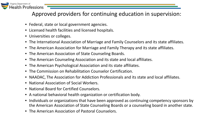

Approved providers for continuing education in supervision:

- Federal, state or local government agencies.
- Licensed health facilities and licensed hospitals.
- Universities or colleges.
- The International Association of Marriage and Family Counselors and its state affiliates.
- The American Association for Marriage and Family Therapy and its state affiliates.
- The American Association of State Counseling Boards.
- The American Counseling Association and its state and local affiliates.
- The American Psychological Association and its state affiliates.
- The Commission on Rehabilitation Counselor Certification.
- NAADAC, The Association for Addiction Professionals and its state and local affiliates.
- National Association of Social Workers.
- National Board for Certified Counselors.
- A national behavioral health organization or certification body.
- Individuals or organizations that have been approved as continuing competency sponsors by the American Association of State Counseling Boards or a counseling board in another state.
- The American Association of Pastoral Counselors.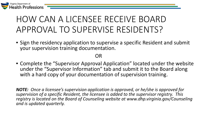

### HOW CAN A LICENSEE RECEIVE BOARD APPROVAL TO SUPERVISE RESIDENTS?

• Sign the residency application to supervise a specific Resident and submit your supervision training documentation.

OR

• Complete the "Supervisor Approval Application" located under the website under the "Supervisor Information" tab and submit it to the Board along with a hard copy of your documentation of supervision training.

*NOTE: Once a licensee's supervision application is approved, or he/she is approved for supervision of a specific Resident, the licensee is added to the supervisor registry. This registry is located on the Board of Counseling website at www.dhp.virginia.gov/Counseling and is updated quarterly.*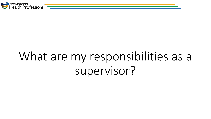

## What are my responsibilities as a supervisor?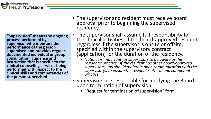**"Supervision" means the ongoing process performed by a supervisor who monitors the performance of the person supervised and provides regular, documented individual or group consultation, guidance and instruction that is specific to the clinical counseling services being performed with respect to the clinical skills and competencies of the person supervised.** 

- The supervisor and resident must receive board approval prior to beginning the supervised residency.
- The supervisor shall assume full responsibility for the clinical activities of the board-approved resident, regardless if the supervisor is onsite or offsite, specified within the supervisory contract (application) for the duration of the residency.
	- *Note: It is important for supervisors to be aware of the resident's practice. If the resident has other board-approved supervisors, you should maintain open communication with the supervisor(s) to ensure the resident's ethical and competent practice.*
- Supervisors are responsible for notifying the Board upon termination of supervision.
	- "Request for termination of supervision" form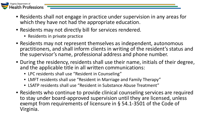

- Residents shall not engage in practice under supervision in any areas for which they have not had the appropriate education.
- Residents may not directly bill for services rendered.
	- Residents in private practice
- Residents may not represent themselves as independent, autonomous practitioners, and shall inform clients in writing of the resident's status and the supervisor's name, professional address and phone number.
- During the residency, residents shall use their name, initials of their degree, and the applicable title in all written communications:
	- LPC residents shall use "Resident in Counseling"
	- LMFT residents shall use "Resident in Marriage and Family Therapy"
	- LSATP residents shall use "Resident in Substance Abuse Treatment"
- Residents who continue to provide clinical counseling services are required to stay under board-approved supervision until they are licensed, unless exempt from requirements of licensure in § 54.1-3501 of the Code of Virginia.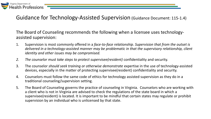

#### Guidance for Technology-Assisted Supervision (Guidance Document: 115-1.4)

The Board of Counseling recommends the following when a licensee uses technologyassisted supervision:

- 1. Supervision is most commonly offered in a *face-to-face relationship*. *Supervision that from the outset is delivered in a technology-assisted manner may be problematic in that the supervisory relationship, client identity and other issues may be compromised.*
- *2. The counselor must take steps to protect supervisee(resident)* confidentiality and security.
- 3. The counselor *should seek training or otherwise demonstrate* expertise in the use of technology-assisted devices, especially in the matter of protecting supervisee(resident) confidentiality and security.
- 4. Counselors must follow the same code of ethics for technology assisted supervision as they do in a traditional counseling/supervision setting.
- 5. The Board of Counseling governs the practice of counseling in Virginia. Counselors who are working with a client who is not in Virginia are advised to check the regulations of the state board in which a supervisee(resident) is located. It is important to be mindful that certain states may regulate or prohibit supervision by an individual who is unlicensed by that state.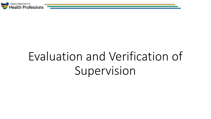

# Evaluation and Verification of Supervision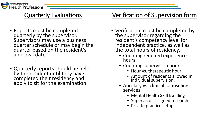

#### Quarterly Evaluations

- Reports must be completed quarterly by the supervisor. Supervisors may use a business quarter schedule or may begin the quarter based on the resident's approval date.
- Quarterly reports should be held by the resident until they have completed their residency and apply to sit for the examination.

#### Verification of Supervision form

- Verification must be completed by the supervisor regarding the resident's competency level for independent practice, as well as the total hours of residency.
	- Counting required experience hours
	- Counting supervision hours
		- Hour vs. therapeutic hour
		- Amount of residents allowed in individual supervision.
	- Ancillary vs. clinical counseling services
		- Mental Health Skill Building
		- Supervisor-assigned research
		- Private practice setup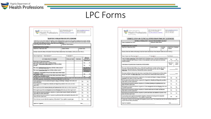

#### LPC Forms

| Virginia Department of<br>$\blacktriangleright$ Health Professions<br>Board of Counseling                                                                                                                                                                                                                  | 9960 Mayland Drive, Suite 300<br>Henrico, VA 23233-1463<br>www.dhp.virginia.gov/counseling | Email: coun@dhp.virginia.gov<br>(804) 367-4610 (Tel)<br>(804) 527-4435 (Fax |                    |               |                                                           |                                                                      |
|------------------------------------------------------------------------------------------------------------------------------------------------------------------------------------------------------------------------------------------------------------------------------------------------------------|--------------------------------------------------------------------------------------------|-----------------------------------------------------------------------------|--------------------|---------------|-----------------------------------------------------------|----------------------------------------------------------------------|
| QUARTERLY EVALUATION FOR LPC LICENSURE                                                                                                                                                                                                                                                                     |                                                                                            |                                                                             |                    |               |                                                           |                                                                      |
| Section 115-20-52-D-3 of the Virginia LPC regulations requires that the applicant's supervisor provide quarterly evaluations to the resident. This form<br>must be signed and dated by the supervisor. This form is to be completed by the supervisor each quarter and provided to the resident to be held |                                                                                            |                                                                             |                    |               |                                                           |                                                                      |
| in their possession until they are ready to submit their licensure application.<br>Name of Applicant (Last, First, Middle)                                                                                                                                                                                 |                                                                                            | Applicant's Email Address                                                   |                    |               |                                                           |                                                                      |
| <b>SUPERVISOR'S EVALUATION:</b>                                                                                                                                                                                                                                                                            |                                                                                            |                                                                             |                    |               |                                                           |                                                                      |
| Supervisor's Name (Last, First)                                                                                                                                                                                                                                                                            | License Number:                                                                            |                                                                             |                    | License Type: |                                                           |                                                                      |
| Business Name and Address of Residency Work Site Where Clinical Hours Were Obtained (ONE LOCATION ONLY)                                                                                                                                                                                                    |                                                                                            |                                                                             |                    |               |                                                           |                                                                      |
| Dates of supervision: From (mm/dd/yy): _                                                                                                                                                                                                                                                                   |                                                                                            | To (mm/dd/yy):                                                              |                    |               |                                                           |                                                                      |
| All Columns Must Be Completed                                                                                                                                                                                                                                                                              |                                                                                            | Hours per week                                                              | <b>Total hours</b> |               |                                                           | Hours are<br>duplicated on<br>snother supervisor's<br>quarterly form |
| Total hours of supervised residency                                                                                                                                                                                                                                                                        |                                                                                            |                                                                             |                    |               |                                                           |                                                                      |
| (face-to-face client contact hour + ancillary hours)<br>How many Face-to-face Client Contact hours did the resident<br>provide?                                                                                                                                                                            |                                                                                            |                                                                             |                    |               | Yes<br>Yes                                                | No<br>No                                                             |
| How many Individual Supervision hours did the resident receive?                                                                                                                                                                                                                                            |                                                                                            |                                                                             |                    |               |                                                           | Note: Must have a                                                    |
|                                                                                                                                                                                                                                                                                                            | How many Group Supervision hours did the resident receive?                                 |                                                                             |                    |               | minimum of 1 and<br>maximum of 4 hours<br>per 40 hours of |                                                                      |
| If applicable, Total number of face-to-face client contact with Couples<br>and Families or both.                                                                                                                                                                                                           |                                                                                            |                                                                             |                    |               | Yes                                                       | work experience.<br>No                                               |
| If applicable. Total number of face-to-face client contact hours clinical<br>substance abuse treatment services.                                                                                                                                                                                           |                                                                                            |                                                                             |                    |               | Yes                                                       | No                                                                   |
| According to 18 VAC 115-20-52 of the LPC Regulations, the resident must have supervised residency in the role of a professional counselor working<br>with various populations, clinical problems, and theoretical approaches in the below areas.                                                           |                                                                                            |                                                                             |                    |               |                                                           |                                                                      |
| Did the applicant provide assessment and diagnosis using psychotherapy techniques while under your<br>direct supervision?                                                                                                                                                                                  |                                                                                            |                                                                             |                    |               | Yes                                                       | No                                                                   |
| Did the applicant provide appraisal, evaluation and diagnostic procedures while under your direct<br>supervision?                                                                                                                                                                                          |                                                                                            |                                                                             |                    |               | Yes                                                       | No                                                                   |
| Did the applicant provide treatment planning and implementation while under your direct supervision?                                                                                                                                                                                                       |                                                                                            |                                                                             |                    |               | Yes                                                       | No                                                                   |
| Did the applicant provide case management and recordkeeping while under your direct supervision?                                                                                                                                                                                                           |                                                                                            |                                                                             |                    |               | Yes                                                       | No                                                                   |
| Did the applicant demonstrate minimum competencies of professional counselor identity and function<br>while under your direct supervision?                                                                                                                                                                 |                                                                                            |                                                                             |                    |               | Yes.                                                      | No                                                                   |
| Did the applicant demonstrate minimum competencies professional ethics and standards of practice while<br>under vour direct supervision?                                                                                                                                                                   |                                                                                            |                                                                             |                    |               | Yes                                                       | No                                                                   |
| Do you have any concerns about the competency of the resident? If yes, explain on separate page.                                                                                                                                                                                                           |                                                                                            |                                                                             |                    |               | Yes                                                       | No                                                                   |
| Supervisor's Signature:                                                                                                                                                                                                                                                                                    |                                                                                            |                                                                             |                    | Date:         |                                                           |                                                                      |
|                                                                                                                                                                                                                                                                                                            |                                                                                            |                                                                             |                    |               |                                                           |                                                                      |

| Health Professions<br>Board of Counseling                                                                                                                                                                                                                                                       | 9960 Mayland Drive, Suite 300<br>Henrico, VA 23233-1463<br>www.dhp.virginia.gov/counseling |                  | Email: coun@dhp.virginia.gov<br>(804) 367-4610 (Tel)<br>(804) 527-4435 (Fax |                      |
|-------------------------------------------------------------------------------------------------------------------------------------------------------------------------------------------------------------------------------------------------------------------------------------------------|--------------------------------------------------------------------------------------------|------------------|-----------------------------------------------------------------------------|----------------------|
| <b>VERIFICATION OF CLINICAL SUPERVISION FOR LPC LICENSURE</b>                                                                                                                                                                                                                                   |                                                                                            |                  |                                                                             |                      |
| GENERAL INFORMATION - PLEASE TYPE OR PRINT CLEARLY                                                                                                                                                                                                                                              |                                                                                            |                  |                                                                             |                      |
| Name of Applicant (Last, First)                                                                                                                                                                                                                                                                 | Applicant's Email Address                                                                  |                  |                                                                             |                      |
| <b>SUPERVISOR'S EVALUATION:</b>                                                                                                                                                                                                                                                                 |                                                                                            |                  |                                                                             |                      |
| Supervisor's Name (Last, First)                                                                                                                                                                                                                                                                 | License Number:                                                                            | License<br>Type: | Supervisor's Telephone<br>Number                                            |                      |
| Business Name and Address of Residency Work Site Where Clinical Hours Were Obtained (ONE LOCATION ONLY)                                                                                                                                                                                         |                                                                                            |                  |                                                                             |                      |
|                                                                                                                                                                                                                                                                                                 |                                                                                            |                  |                                                                             |                      |
| Under your direct supervision, did the resident receive a minimum of one (1) hour and a maximum of four<br>(4) hours of in-person supervision per 40 hours of work experience and was the supervision concurrent<br>with the residency?                                                         |                                                                                            |                  | Yes<br>If no, explain on separate page                                      | No                   |
| Total amount of in-person hours of supervision with the resident.                                                                                                                                                                                                                               |                                                                                            |                  | Individual<br>Hours:                                                        | Group<br>Hours:      |
| How many total supervised residency hours, in the role of a professional counselor working with various<br>populations, clinical problems and theoretical approaches did the resident provide under vour direct<br>supervision? (Do not include hours obtained under another supervisor)        |                                                                                            |                  |                                                                             | hours                |
|                                                                                                                                                                                                                                                                                                 |                                                                                            |                  |                                                                             |                      |
| How many total hours of face-to face client contact, in providing clinical counseling services, did the resident<br>provide while under your direct supervision? (Do not include hours obtained under another supervisor)                                                                       |                                                                                            |                  |                                                                             |                      |
| Did the applicant demonstrate minimum competencies of assessment and diagnosis using psychotherapy<br>techniques while under your direct supervision?                                                                                                                                           |                                                                                            |                  | Yes                                                                         |                      |
| Did the applicant demonstrate minimum competencies of appraisal, evaluation and diagnostic procedures<br>while under vour direct supervision?                                                                                                                                                   |                                                                                            |                  | Yes                                                                         |                      |
| under your direct supervision?                                                                                                                                                                                                                                                                  |                                                                                            |                  | Yes                                                                         |                      |
| Did the applicant demonstrate minimum competencies of treatment planning and implementation while<br>Did the applicant demonstrate minimum competencies of case management and recordkeeping while under<br>vour direct supervision?                                                            |                                                                                            |                  | Yes                                                                         | No<br>No<br>No<br>No |
| Did the applicant demonstrate minimum connetencies of professional counselor identity and function<br>while under vour direct supervision?                                                                                                                                                      |                                                                                            |                  | Yes                                                                         | No                   |
| under your direct supervision?                                                                                                                                                                                                                                                                  |                                                                                            |                  | Yes                                                                         | No                   |
| Did the applicant demonstrate minimum competencies professional ethics and standards of practice while<br>In your opinion has the applicant demonstrated competency sufficient for licensing and the independent<br>practice in clinical counseling services? If not, explain on separate page. |                                                                                            |                  | Yes                                                                         | No                   |
| I declare that, to the best of my knowledge, the foregoing is true and correct. This evaluation has been discussed with the resident and a<br>copy has been provided to the resident.                                                                                                           |                                                                                            |                  |                                                                             | hours                |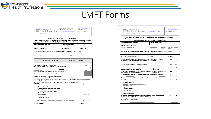

#### LMFT Forms

| Virginia Department of<br>Board of Counseling                                                                                                                                                                                           | 9960 Mayland Drive, Suite 300<br>Henrico, VA 23233-1463 | www.dhp.virginia.gov/counseling | Email: coun@dhp.virginia.gov<br>(804) 367-4610 (Tel)<br>(804) 527-4435 (Fax |                              |                                                            |
|-----------------------------------------------------------------------------------------------------------------------------------------------------------------------------------------------------------------------------------------|---------------------------------------------------------|---------------------------------|-----------------------------------------------------------------------------|------------------------------|------------------------------------------------------------|
| QUARTERLY EVALUATION FOR LMFT LICENSURE                                                                                                                                                                                                 |                                                         |                                 |                                                                             |                              |                                                            |
| Section 115-50-60-D-1 of the Virginia LMFT regulations requires that the applicant's supervisor provide quarterly evaluations to the resident. This                                                                                     |                                                         |                                 |                                                                             |                              |                                                            |
| form must be signed and dated by the supervisor. This form is to be completed by the supervisor each quarter and provided to the resident to be<br>held in their possession until they are ready to submit their licensure application. |                                                         |                                 |                                                                             |                              |                                                            |
| Name of Applicant (Last, First, Middle)                                                                                                                                                                                                 |                                                         | Applicant's Email Address       |                                                                             |                              |                                                            |
| <b>SUPERVISOR'S EVALUATION:</b>                                                                                                                                                                                                         |                                                         |                                 |                                                                             |                              |                                                            |
| Supervisor's Name (Last, First)                                                                                                                                                                                                         | License Number:                                         |                                 | License Type:                                                               |                              |                                                            |
|                                                                                                                                                                                                                                         |                                                         |                                 |                                                                             |                              |                                                            |
| Business Name and Address of Residency Work Site Where Clinical Hours Were Obtained (ONE LOCATION ONLY)                                                                                                                                 |                                                         |                                 |                                                                             |                              |                                                            |
|                                                                                                                                                                                                                                         |                                                         |                                 |                                                                             |                              |                                                            |
|                                                                                                                                                                                                                                         |                                                         |                                 |                                                                             |                              |                                                            |
| Dates of supervision: From (mm/dd/yy): ______                                                                                                                                                                                           |                                                         | To (mm/dd/yy): ___              |                                                                             |                              |                                                            |
|                                                                                                                                                                                                                                         |                                                         |                                 |                                                                             |                              | Hours are                                                  |
| All Columns Must Be Completed                                                                                                                                                                                                           |                                                         | Hours per week                  | <b>Total hours</b>                                                          |                              | duplicated on<br>another<br>supervisor's<br>quarterly form |
| Total hours of supervised residency                                                                                                                                                                                                     |                                                         |                                 |                                                                             |                              |                                                            |
| (face-to-face client contact hour + ancillary hours)<br>How many Face-to-face Client Contact hours did the resident provide?                                                                                                            |                                                         |                                 |                                                                             | Yes                          | No                                                         |
|                                                                                                                                                                                                                                         |                                                         |                                 |                                                                             | Yes                          | No                                                         |
| How many face-to-face client contact hours were with Couples and                                                                                                                                                                        |                                                         |                                 |                                                                             |                              | No                                                         |
| <b>Families or Both?</b><br>How many Individual Supervision hours did the resident receive?                                                                                                                                             |                                                         |                                 |                                                                             | Yes                          |                                                            |
|                                                                                                                                                                                                                                         |                                                         |                                 |                                                                             |                              |                                                            |
| How many Group Supervision hours did the resident receive?                                                                                                                                                                              |                                                         |                                 |                                                                             |                              |                                                            |
| If applicable, Total number of face-to-face client contact hours in<br>clinical substance abuse treatment services.                                                                                                                     |                                                         |                                 |                                                                             | Yes                          | No                                                         |
| These areas are outlined in Section 18 VAC 115-50-55 of the LMFT Regulations. The resident must have supervised residency in the role of a<br>marriage and family therapist in the below areas.                                         |                                                         |                                 |                                                                             |                              |                                                            |
| Did the applicant provide clinical marriage and family services in the below core areas while under your direct                                                                                                                         |                                                         |                                 |                                                                             |                              |                                                            |
| supervision?<br>Marriage and Family Studies                                                                                                                                                                                             |                                                         |                                 | Yes                                                                         |                              | No                                                         |
| Marriage and Family Therapy                                                                                                                                                                                                             |                                                         |                                 |                                                                             |                              |                                                            |
| Human Growth and Development Across the Lifespan                                                                                                                                                                                        |                                                         |                                 |                                                                             |                              |                                                            |
| Abnormal Behaviors                                                                                                                                                                                                                      |                                                         |                                 |                                                                             |                              |                                                            |
| Diagnosis and Treatment of Addictive Behaviors                                                                                                                                                                                          |                                                         |                                 |                                                                             |                              |                                                            |
| Multicultural Counseling                                                                                                                                                                                                                |                                                         |                                 |                                                                             |                              |                                                            |
|                                                                                                                                                                                                                                         |                                                         |                                 |                                                                             | If no, explain on a separate |                                                            |
| Professional Identity                                                                                                                                                                                                                   |                                                         |                                 |                                                                             | page.                        |                                                            |
| Research                                                                                                                                                                                                                                |                                                         |                                 |                                                                             |                              |                                                            |
| Assessments and Treatment                                                                                                                                                                                                               |                                                         |                                 |                                                                             |                              |                                                            |
| Do you have any concerns about the competency of the resident? If yes, explain on separate page.                                                                                                                                        |                                                         |                                 | Yes                                                                         |                              | No                                                         |

| Virginia Department of<br>$\rightarrow$ Health Professions<br><b>Board of Counseling</b>                                                                                                                                                                             | 9960 Mayland Drive, Suite 300<br>Henrico, VA 23233-1463<br>www.dhp.virginia.gov/counseling |                  | Email: coun@dhp.virginia.gov<br>(304) 367-4610 (Tel)<br>(804) 527-4435 (Fax |                 |
|----------------------------------------------------------------------------------------------------------------------------------------------------------------------------------------------------------------------------------------------------------------------|--------------------------------------------------------------------------------------------|------------------|-----------------------------------------------------------------------------|-----------------|
| <b>NERIFICATION OF CLINICAL SUPERVISION FOR LMFT LICENSURE</b>                                                                                                                                                                                                       |                                                                                            |                  |                                                                             |                 |
| GENERAL INFORMATION - PLEASE TYPE OR PRINT CLEARLY                                                                                                                                                                                                                   |                                                                                            |                  |                                                                             |                 |
| Name of Applicant (Last, First, Middle)                                                                                                                                                                                                                              | Applicant's Email Address                                                                  |                  |                                                                             |                 |
|                                                                                                                                                                                                                                                                      |                                                                                            |                  |                                                                             |                 |
| <b>SUPERVISOR'S EVALUATION:</b>                                                                                                                                                                                                                                      |                                                                                            |                  |                                                                             |                 |
| Supervisor's Name (Last, First)                                                                                                                                                                                                                                      | License Number:                                                                            | License<br>Type: | Supervisor's Telephone<br>Number                                            |                 |
| Business Name and Address of Residency Work Site Where Clinical Hours Were Obtained (ONE LOCATION ONLY)                                                                                                                                                              |                                                                                            |                  |                                                                             |                 |
| Dates of supervision: From (mm/gd/yy): To (mm/gd/yy): To (mm/gd/yy): Total Months:                                                                                                                                                                                   |                                                                                            |                  |                                                                             |                 |
| Did the resident receive a minimum of one (1) hour and a maximum of four (4) hours of in-person<br>supervision per 40 hours of work experience while under your direct supervision?                                                                                  |                                                                                            |                  | Yes<br>If no, explain on separate page                                      | No              |
| Total amount of in-person hours of supervision with the resident.                                                                                                                                                                                                    |                                                                                            |                  | Individual<br>Hours:                                                        | Group<br>Hours: |
| Did the applicant complete a minimum of 3.400 hours of supervised residency in the role of marriage and<br>family therapist under your direct supervision?                                                                                                           | If not, how many?                                                                          |                  | Yes                                                                         | No              |
| Did the resident complete at least 2,000 hours of face-to face client contact in providing clinical marriage and<br>family services under your direct supervision?                                                                                                   | If not how many?                                                                           |                  | Yes.                                                                        | No              |
| Did the resident complete at least 1,000 hours of face-to face client contact with couples or families or both<br>under your direct supervision?                                                                                                                     | If not how many?                                                                           |                  | Yes                                                                         | No              |
|                                                                                                                                                                                                                                                                      |                                                                                            |                  |                                                                             |                 |
| Did the applicant demonstrate minimum competencies in the following core areas while under your direct                                                                                                                                                               |                                                                                            |                  |                                                                             |                 |
| supervision?                                                                                                                                                                                                                                                         |                                                                                            |                  | Yes                                                                         | No              |
| Marriage and Family Studies                                                                                                                                                                                                                                          |                                                                                            |                  |                                                                             |                 |
| Marriage and Family Therapy<br>٠<br>Human Growth and Development Across the Lifespan<br>Abnormal Behaviors<br>٠                                                                                                                                                      |                                                                                            |                  |                                                                             |                 |
| Diagnosis and Treatment of Addictive Behaviors<br>٠                                                                                                                                                                                                                  |                                                                                            |                  |                                                                             |                 |
| Multicultural Counseling<br>٠                                                                                                                                                                                                                                        |                                                                                            |                  |                                                                             |                 |
| Professional Identity<br>٠                                                                                                                                                                                                                                           |                                                                                            |                  |                                                                             |                 |
| Research<br>٠                                                                                                                                                                                                                                                        |                                                                                            |                  | If no, explain on separate page                                             |                 |
| Assessments and Treatment<br>٠                                                                                                                                                                                                                                       |                                                                                            |                  |                                                                             |                 |
| In your opinion has the applicant demonstrated competency sufficient for licensing and the independent                                                                                                                                                               |                                                                                            |                  | Yes                                                                         | No              |
| practice in marriage and family services? If not, explain on separate page.<br>I declare that, to the best of my knowledge, the foregoing is true and correct. This evaluation has been discussed with the resident and a<br>copy has been provided to the resident. |                                                                                            |                  |                                                                             |                 |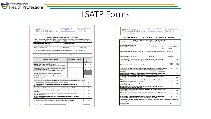

#### LSATP Forms

| Virginia Department of<br>Health Professions<br>Board of Counseling                                                                                                                                                                                                              | 9960 Mayland Drive, Suite 300<br>Henrico, VA 23233-1463 | www.dhp.virginia.gov/counseling | Email: coun@dhp.virginia.gov<br>(804) 367-4610 (Tel)<br>(804) 527-4435 (Fax |      |                                                                         |
|----------------------------------------------------------------------------------------------------------------------------------------------------------------------------------------------------------------------------------------------------------------------------------|---------------------------------------------------------|---------------------------------|-----------------------------------------------------------------------------|------|-------------------------------------------------------------------------|
| <b>QUARTERLY EVALUATION FOR LSATP LICENSURE</b><br>Section 115-60-80-E-3 of the Virginia LSATP regulations requires that the applicant's supervisor provide quarterly evaluations to the resident. This                                                                          |                                                         |                                 |                                                                             |      |                                                                         |
| form must be signed and dated by the supervisor. This form is to be completed by the supervisor each quarter and provided to the resident to be<br>held in their possession until they are ready to submit their licensure application.                                          |                                                         |                                 |                                                                             |      |                                                                         |
| Name of Applicant (Last, First, Middle)                                                                                                                                                                                                                                          |                                                         | Applicant's Email Address       |                                                                             |      |                                                                         |
| <b>SUPERVISOR'S EVALUATION:</b>                                                                                                                                                                                                                                                  |                                                         |                                 |                                                                             |      |                                                                         |
| Supervisor's Name (Last, First)                                                                                                                                                                                                                                                  | License Number:                                         |                                 | License Type:                                                               |      |                                                                         |
|                                                                                                                                                                                                                                                                                  |                                                         |                                 |                                                                             |      |                                                                         |
| Business Name and Address of Residency Work Site Where Clinical Hours Were Obtained (ONE LOCATION ONLY)                                                                                                                                                                          |                                                         |                                 |                                                                             |      |                                                                         |
| Dates of supervision: From (mm/dd/vv):                                                                                                                                                                                                                                           |                                                         | To (mm/dd/vv):                  |                                                                             |      |                                                                         |
|                                                                                                                                                                                                                                                                                  |                                                         |                                 |                                                                             |      |                                                                         |
| All Columns Must Be Completed                                                                                                                                                                                                                                                    |                                                         | Hours per week                  | <b>Total hours</b>                                                          |      | Hours are<br>duplicated on<br>another<br>supervisor's<br>quarterly form |
| Total hours of supervised residency<br>(face-to-face client contact hour + ancillary hours)                                                                                                                                                                                      |                                                         |                                 |                                                                             | Yes  | No                                                                      |
| How many Face-to-face Client Contact hours did the resident provide?                                                                                                                                                                                                             |                                                         |                                 |                                                                             | Yes  | No                                                                      |
| Total number of face-to-face client contact hours in providing clinical<br>substance abuse treatment services.                                                                                                                                                                   |                                                         |                                 |                                                                             | Yes  | No                                                                      |
| How many Individual Supervision hours did the resident receive?                                                                                                                                                                                                                  |                                                         |                                 |                                                                             |      |                                                                         |
|                                                                                                                                                                                                                                                                                  |                                                         |                                 |                                                                             |      |                                                                         |
| How many Group Supervision hours did the resident receive?                                                                                                                                                                                                                       |                                                         |                                 |                                                                             |      |                                                                         |
| If applicable, Total number of face-to-face client contact with Couples<br>and Families or both.                                                                                                                                                                                 |                                                         |                                 |                                                                             | Yes  |                                                                         |
| These areas are outlined in Section 18 VAC 115-60-80 of the LSATP Regulations. The resident must have supervised residency in a supervised<br>residency in substance abuse treatment with various populations, clinical problems, and theoretical approaches in the below areas. |                                                         |                                 |                                                                             |      | No                                                                      |
| Did the applicant provide clinical evaluations while under your direct supervision?                                                                                                                                                                                              |                                                         |                                 |                                                                             | Yes. | No                                                                      |
| Did the applicant provide treatment planning, documentation and implementation while under your<br>direct supervision?                                                                                                                                                           |                                                         |                                 |                                                                             | Yes  | No                                                                      |
| Did the applicant provide referral and service coordination while under your direct supervision?                                                                                                                                                                                 |                                                         |                                 |                                                                             | Yes  | No                                                                      |
| Did the applicant provide individual and group counseling and case management while under your direct<br>supervision?                                                                                                                                                            |                                                         |                                 |                                                                             | Yes  | No                                                                      |
| Did the applicant demonstrate minimum competencies of client family and community education while<br>under your direct supervision?                                                                                                                                              |                                                         |                                 |                                                                             | Yes  | No                                                                      |
| Did the applicant demonstrate minimum competencies professional and ethical responsibility while under<br>your direct supervision?                                                                                                                                               |                                                         |                                 |                                                                             | Yes  | No                                                                      |
| Do you have any concerns about the competency of the resident? If yes, explain on separate page.                                                                                                                                                                                 |                                                         |                                 |                                                                             | Yes  | No                                                                      |

| Virginia Department of<br>Health Professions<br>Board of Counseling                                                                                                                                                          | 9960 Mayland Drive, Suite 300<br>Henrico, VA 23233-1463<br>www.dhp.virginia.gov/counseling |                  | Email: coun@dhp.virginia.gov<br>(804) 367-4610 (Tel)<br>(804) 527-4435 (Fax |                                       |
|------------------------------------------------------------------------------------------------------------------------------------------------------------------------------------------------------------------------------|--------------------------------------------------------------------------------------------|------------------|-----------------------------------------------------------------------------|---------------------------------------|
| <b>VERIFICATION OF CLINICAL SUPERVISION FOR LSATP LICENSURE</b>                                                                                                                                                              |                                                                                            |                  |                                                                             |                                       |
| GENERAL INFORMATION - PLEASE TYPE OR PRINT CLEARLY                                                                                                                                                                           |                                                                                            |                  |                                                                             |                                       |
| Name of Applicant (Last, First, Middle)                                                                                                                                                                                      | Applicant's Email Address                                                                  |                  |                                                                             |                                       |
| <b>SUPERVISOR'S EVALUATION:</b>                                                                                                                                                                                              |                                                                                            |                  |                                                                             |                                       |
| Supervisor's Name (Last, First)                                                                                                                                                                                              | License Number:                                                                            | License<br>Type: | Supervisor's Telephone<br>Number                                            |                                       |
| Business Name and Address of Residency Work Site Where Clinical Hours Were Obtained (ONE LOCATION ONLY)                                                                                                                      |                                                                                            |                  |                                                                             |                                       |
| Dates of supervision: From (mm/gd/yy): To (mm/dd/yy): Total Months:                                                                                                                                                          |                                                                                            |                  |                                                                             |                                       |
| Did the resident receive a minimum of one (1) hour and a maximum of four (4) hours of in-person<br>supervision per 40 hours of work experience while under your direct supervision?                                          |                                                                                            |                  | Yes                                                                         | No<br>If no, explain on separate page |
| Total amount of in-person hours of supervision with the resident.                                                                                                                                                            |                                                                                            |                  | Individual<br>Hours:                                                        | Group<br>Hours:                       |
| Did the applicant complete a minimum of 3,400 hours of supervised residency in substance abuse treatment<br>working with various populations, clinical problems and theoretical approaches under your direct<br>supervision? | If not, how many?                                                                          |                  | Yes                                                                         | No                                    |
| Did the resident complete at least 2,000 hours of face-to face client contact in providing clinical substance<br>abuse treatment services while under your direct supervision?                                               | If not how many?                                                                           |                  | Yes                                                                         | No                                    |
| Did the applicant demonstrate minimum competencies of clinical evaluation while under your direct<br>supervision?                                                                                                            |                                                                                            |                  | Yes                                                                         | No                                    |
| Did the applicant demonstrate minimum competencies of treatment planning, documentation and<br>implementation while under your direct supervision?                                                                           |                                                                                            |                  | Yes                                                                         | No                                    |
| Did the applicant demonstrate minimum competencies of referral and service coordination while under<br>vour direct supervision?                                                                                              |                                                                                            |                  | Yes                                                                         | No                                    |
| Did the applicant demonstrate minimum competencies of individual and group counseling and case<br>management while under your direct supervision?                                                                            |                                                                                            |                  | Yes                                                                         | No                                    |
| Did the applicant demonstrate minimum competencies of client family and community education while<br>under your direct supervision?                                                                                          |                                                                                            |                  | Yes                                                                         | No                                    |
| Did the applicant demonstrate minimum competencies professional and ethical responsibility while under<br>vour direct supervision?                                                                                           |                                                                                            |                  | Yes                                                                         | No                                    |
| In your opinion has the applicant demonstrated competency sufficient for licensing and the independent<br>practice in clinical substance abuse treatment services? If not, explain on separate page.                         |                                                                                            |                  | Yes                                                                         | No                                    |
| I declare that, to the best of my knowledge, the foregoing is true and correct. This evaluation has been discussed with the resident and a<br>copy has been provided to the resident.                                        |                                                                                            |                  |                                                                             |                                       |
| Supervisor Signature:                                                                                                                                                                                                        |                                                                                            |                  | Date:                                                                       |                                       |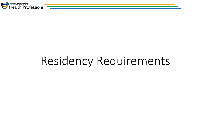

## Residency Requirements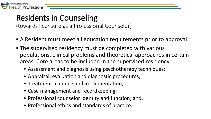

### Residents in Counseling

(towards licensure as a Professional Counselor)

- A Resident must meet all education requirements prior to approval.
- The supervised residency must be completed with various populations, clinical problems and theoretical approaches in certain areas. Core areas to be included in the supervised residency:
	- Assessment and diagnosis using psychotherapy techniques;
	- Appraisal, evaluation and diagnostic procedures;
	- Treatment planning and implementation;
	- Case management and recordkeeping;
	- Professional counselor identity and function; and,
	- Professional ethics and standards of practice.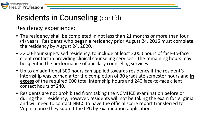

### Residents in Counseling (cont'd)

#### Residency experience:

- The residency shall be completed in not less than 21 months or more than four (4) years. Residents who began a residency prior August 24, 2016 must complete the residency by August 24, 2020.
- 3,400-hour supervised residency, to include at least 2,000 hours of face-to-face client contact in providing clinical counseling services. The remaining hours may be spent in the performance of ancillary counseling services.
- Up to an additional 300 hours can applied towards residency if the resident's internship was earned after the completion of 30 graduate semester hours and **in excess** of the required 600 total internship hours and 240 face-to-face client contact hours of 240.
- Residents are not prohibited from taking the NCMHCE examination before or during their residency; however, residents will not be taking the exam for Virginia and will need to contact NBCC to have the official score report transferred to Virginia once they submit the LPC by Examination application.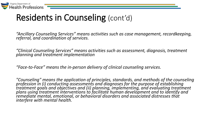

## Residents in Counseling (cont'd)

*"Ancillary Counseling Services" means activities such as case management, recordkeeping, referral, and coordination of services.* 

*"Clinical Counseling Services" means activities such as assessment, diagnosis, treatment planning and treatment implementation*

*"Face-to-Face" means the in-person delivery of clinical counseling services.*

*"Counseling" means the application of principles, standards, and methods of the counseling profession in (i) conducting assessments and diagnoses for the purpose of establishing treatment goals and objectives and (ii) planning, implementing, and evaluating treatment plans using treatment interventions to facilitate human development and to identify and remediate mental, emotional, or behavioral disorders and associated distresses that interfere with mental health.*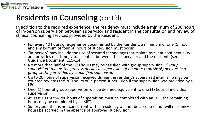

#### Residents in Counseling (cont'd)

In addition to the required experience, the residency must include a minimum of 200 hours of in-person supervision between supervisor and resident in the consultation and review of clinical counseling services provided by the Resident.

- For every 40 hours of experience documented by the Resident, a minimum of one (1) hour and a maximum of four (4) hours of supervision must occur.
- "In-person" may include the use of secured technology that maintains client confidentiality and provides real-time, visual contact between the supervisor and the resident. (see Guidance Document: 115-1.4)
- No more than half of the 200 hours may be satisfied with group supervision. *"Group*<br>*supervision" means the process of clinical supervision of no more than six (6) <u>persons</u> in a group setting provided by a qualified supervisor.*
- Up to 20 hours of supervision received during the resident's supervised internship may be counted towards the 200 hours of in-person supervision if the supervision was provided by a LPC.
- One (1) hour of group supervision will be deemed equivalent to one (1) hour of individual supervision.
- At least 100 of the 200 hours of supervision must be completed with an LPC, the remaining hours may be completed by a LMFT.
- Supervision that is not concurrent with a residency will not be accepted, nor will residency hours be accrued in the absence of approved supervision.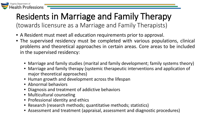

## Residents in Marriage and Family Therapy

(towards licensure as a Marriage and Family Therapists)

- A Resident must meet all education requirements prior to approval.
- The supervised residency must be completed with various populations, clinical problems and theoretical approaches in certain areas. Core areas to be included in the supervised residency:
	- Marriage and family studies (marital and family development; family systems theory)
	- Marriage and family therapy (systemic therapeutic interventions and application of major theoretical approaches)
	- Human growth and development across the lifespan
	- Abnormal behaviors
	- Diagnosis and treatment of addictive behaviors
	- Multicultural counseling
	- Professional identity and ethics
	- Research (research methods; quantitative methods; statistics)
	- Assessment and treatment (appraisal, assessment and diagnostic procedures)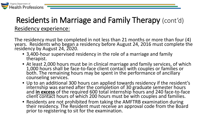

#### Residents in Marriage and Family Therapy (cont'd) Residency experience:

The residency must be completed in not less than 21 months or more than four (4) years. Residents who began a residency before August 24, 2016 must complete the residency by August 24, 2020.

- 3,400-hour supervised residency in the role of a marriage and family therapist.
- At least 2,000 hours must be in clinical marriage and family services, of which<br>1,000 hours shall be face-to-face client contact with couples or families or<br>both. The remaining hours may be spent in the performance of an counseling services.
- Up to an additional 300 hours can applied towards residency if the resident's internship was earned after the completion of 30 graduate semester hours and **in excess** of the required 600 total internship hours and 240 face-to-face client contact hours of which 200 hours must be with couples and families.
- Residents are not prohibited from taking the AMFTRB examination during their residency. The Resident must receive an approval code from the Board prior to registering to sit for the examination.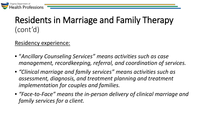

### Residents in Marriage and Family Therapy (cont'd)

#### Residency experience:

- "*Ancillary Counseling Services" means activities such as case management, recordkeeping, referral, and coordination of services.*
- *"Clinical marriage and family services" means activities such as assessment, diagnosis, and treatment planning and treatment implementation for couples and families.*
- *"Face-to-Face" means the in-person delivery of clinical marriage and family services for a client.*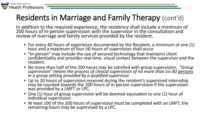

### Residents in Marriage and Family Therapy (cont'd)

In addition to the required experience, the residency shall include a minimum of 200 hours of in-person supervision with the supervisor in the consultation and review of marriage and family services provided by the resident.

- For every 40 hours of experience documented by the Resident, a minimum of one (1) hour and a maximum of four (4) hours of supervision shall occur.
- "In-person" may include the use of secured technology that maintains client confidentiality and provides real-time, visual contact between the supervisor and the resident.
- No more than half of the 200 hours may be satisfied with group supervision. "Group supervision" means the process of clinical supervision of no more than six (6) persons in a group setting provided by a qualified supervi
- Up to 20 hours of supervision received during the resident's supervised internship may be counted towards the 200 hours of in-person supervision if the supervision was provided by a LMFT or LPC.
- One (1) hour of group supervision will be deemed equivalent to one (1) hour of individual supervision.
- At least 100 of the 200 hours of supervision must be completed with an LMFT, the remaining hours may be supervised by a LPC.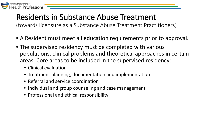

# Residents in Substance Abuse Treatment<br>(towards licensure as a Substance Abuse Treatment Practitioners)

- A Resident must meet all education requirements prior to approval.
- The supervised residency must be completed with various populations, clinical problems and theoretical approaches in certain areas. Core areas to be included in the supervised residency:
	- Clinical evaluation
	- Treatment planning, documentation and implementation
	- Referral and service coordination
	- Individual and group counseling and case management
	- Professional and ethical responsibility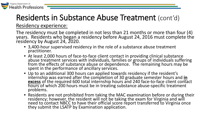

### Residents in Substance Abuse Treatment (cont'd)

Residency experience:

The residency must be completed in not less than 21 months or more than four (4) years. Residents who began a residency before August 24, 2016 must complete the residency by August 24, 2020.

- 3,400-hour supervised residency in the role of a substance abuse treatment practitioner.
- At least 2,000 hours of face-to-face client contact in providing clinical substance<br>abuse treatment services with individuals, families or groups of individuals suffering from the effects of substance abuse or dependence. The remaining hours may be spent in the performance of ancillary services.
- Up to an additional 300 hours can applied towards residency if the resident's internship was earned after the completion of 30 graduate semester hours and **in excess** of the required 600 total internship hours and 240 face-to-face client contact hours of which 200 hours must be in treating substance abuse-specific treatment problems.
- Residents are not prohibited from taking the MAC examination before or during their residency; however, the resident will not be taking the exam for Virginia and will need to contact NBCC to have their official score rep they submit the LSATP by Examination application.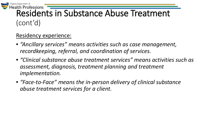

## Health Professions<br>Residents in Substance Abuse Treatment (cont'd)

#### Residency experience:

- *"Ancillary services" means activities such as case management, recordkeeping, referral, and coordination of services.*
- *"Clinical substance abuse treatment services" means activities such as assessment, diagnosis, treatment planning and treatment implementation.*
- *"Face-to-Face" means the in-person delivery of clinical substance abuse treatment services for a client.*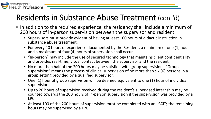### Residents in Substance Abuse Treatment (cont'd)

Virginia Department of

**Health Professions** 

- In addition to the required experience, the residency shall include a minimum of 200 hours of in-person supervision between the supervisor and resident.
	- Supervisors must provide evident of having at least 100 hours of didactic instruction in substance abuse treatment.
	- For every 40 hours of experience documented by the Resident, a minimum of one (1) hour and a maximum of four (4) hours of supervision shall occur.
	- "In-person" may include the use of secured technology that maintains client confidentiality and provides real-time, visual contact between the supervisor and the resident.
	- No more than half of the 200 hours may be satisfied with group supervision. "Group supervision" means the process of clinical supervision of no more than six (6) persons in a group setting provided by a qualified supervisor.
	- One (1) hour of group supervision will be deemed equivalent to one (1) hour of individual supervision.
	- Up to 20 hours of supervision received during the resident's supervised internship may be counted towards the 200 hours of in-person supervision if the supervision was provided by a LPC.
	- At least 100 of the 200 hours of supervision must be completed with an LSATP, the remaining hours may be supervised by a LPC.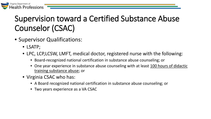

### Supervision toward a Certified Substance Abuse Counselor (CSAC)

- • Supervisor Qualifications:
	- LSATP;
	- LPC, LCP,LCSW, LMFT, medical doctor, registered nurse with the following:
		- Board-recognized national certification in substance abuse counseling; or
		- One year experience in substance abuse counseling with at least 100 hours of didactic training substance abuse; or
	- Virginia CSAC who has:
		- A Board recognized national certification in substance abuse counseling; or
		- Two years experience as a VA CSAC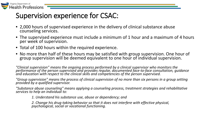

#### Supervision experience for CSAC:

- 2,000 hours of supervised experience in the delivery of clinical substance abuse counseling services.
- The supervised experience must include a minimum of 1 hour and a maximum of 4 hours per week of supervision.
- Total of 100 hours within the required experience.
- No more than half of these hours may be satisfied with group supervision. One hour of group supervision will be deemed equivalent to one hour of individual supervision.

*"Clinical supervision" means the ongoing process performed by a clinical supervisor who monitors the*  performance of the person supervised and provides regular, documented face-to-face consultation, guidance<br>and education with respect to the clinical skills and competencies of the person supervised.

*"Group supervision" means the process of clinical supervision of no more than six persons in a group setting provided by a qualified supervisor.* 

*"Substance abuse counseling" means applying a counseling process, treatment strategies and rehabilitative services to help an individual to:* 

*1. Understand his substance use, abuse or dependency; and* 

*2. Change his drug-taking behavior so that it does not interfere with effective physical, psychological, social or vocational functioning.*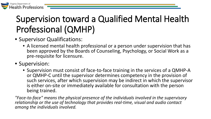

## Supervision toward a Qualified Mental Health Professional (QMHP)

- Supervisor Qualifications:
	- A licensed mental health professional or a person under supervision that has been approved by the Boards of Counseling, Psychology, or Social Work as a pre-requisite for licensure.
- Supervision:
	- Supervision must consist of face-to-face training in the services of a QMHP-A or QMHP-C until the supervisor determines competency in the provision of such services, after which supervision may be indirect in which the supervisor is either on-site or immediately available for consultation with the person being trained.

*"Face-to-face" means the physical presence of the individuals involved in the supervisory relationship or the use of technology that provides real-time, visual and audio contact among the individuals involved.*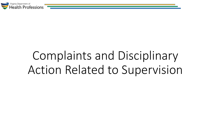

## Complaints and Disciplinary Action Related to Supervision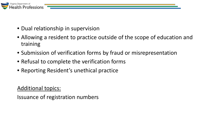

- Dual relationship in supervision
- Allowing a resident to practice outside of the scope of education and training
- Submission of verification forms by fraud or misrepresentation
- Refusal to complete the verification forms
- Reporting Resident's unethical practice

#### Additional topics:

Issuance of registration numbers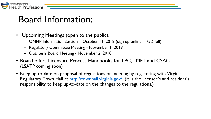

### Board Information:

- Upcoming Meetings (open to the public):
	- QMHP Information Session October 11, 2018 (sign up online 75% full)
	- Regulatory Committee Meeting November 1, 2018
	- Quarterly Board Meeting November 2, 2018
- Board offers Licensure Process Handbooks for LPC, LMFT and CSAC. (LSATP coming soon)
- Keep up-to-date on proposal of regulations or meeting by registering with Virginia Regulatory Town Hall at [http://townhall.virginia.gov/.](http://townhall.virginia.gov/) (It is the licensee's and resident's responsibility to keep up-to-date on the changes to the regulations.)